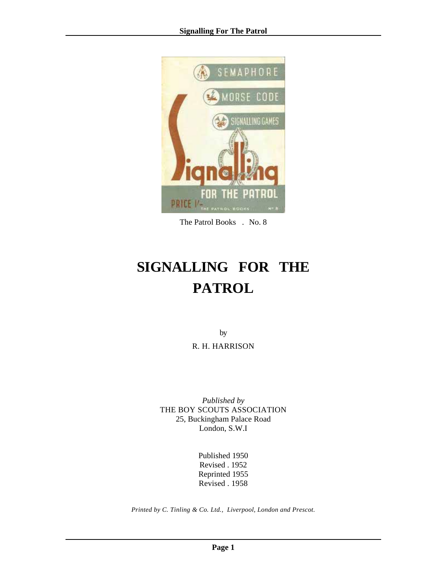

The Patrol Books . No. 8

# **SIGNALLING FOR THE PATROL**

by R. H. HARRISON

*Published by* THE BOY SCOUTS ASSOCIATION 25, Buckingham Palace Road London, S.W.I

> Published 1950 Revised . 1952 Reprinted 1955 Revised . 1958

*Printed by C. Tinling & Co. Ltd., Liverpool, London and Prescot.*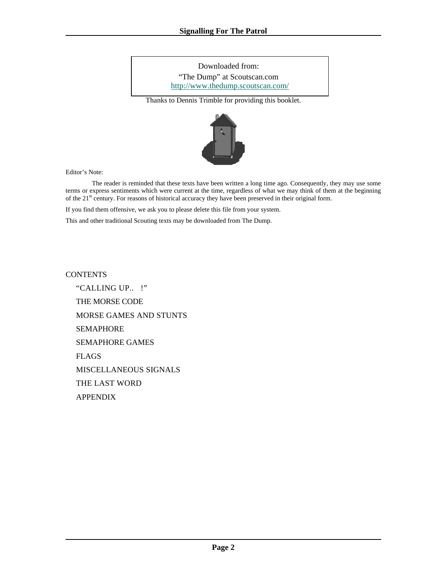Downloaded from: "The Dump" at Scoutscan.com http://www.thedump.scoutscan.com/

Thanks to Dennis Trimble for providing this booklet.



Editor's Note:

 The reader is reminded that these texts have been written a long time ago. Consequently, they may use some terms or express sentiments which were current at the time, regardless of what we may think of them at the beginning of the 21<sup>st</sup> century. For reasons of historical accuracy they have been preserved in their original form.

If you find them offensive, we ask you to please delete this file from your system.

This and other traditional Scouting texts may be downloaded from The Dump.

**CONTENTS** 

["CALLING UP.. !"](#page-2-0)  [THE MORSE CODE](#page-3-0)  [MORSE GAMES AND STUNTS](#page-8-0)  [SEMAPHORE](#page-9-0)  [SEMAPHORE GAMES](#page-14-0)  [FLAGS](#page-15-0)  [MISCELLANEOUS SIGNALS](#page-17-0)  [THE LAST WORD](#page-19-0)  [APPENDIX](#page-19-0)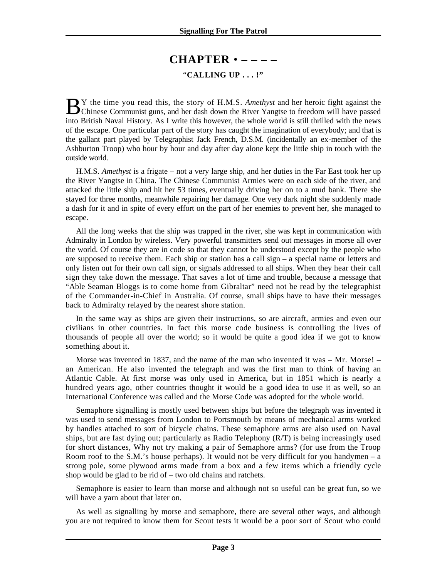# **CHAPTER** • **– – – –**

### "**CALLING UP . . . !"**

<span id="page-2-0"></span>Y the time you read this, the story of H.M.S. *Amethyst* and her heroic fight against the B Y the time you read this, the story of H.M.S. *Amethyst* and her heroic fight against the Chinese Communist guns, and her dash down the River Yangtse to freedom will have passed into British Naval History. As I write this however, the whole world is still thrilled with the news of the escape. One particular part of the story has caught the imagination of everybody; and that is the gallant part played by Telegraphist Jack French, D.S.M. (incidentally an ex-member of the Ashburton Troop) who hour by hour and day after day alone kept the little ship in touch with the outside world.

H.M.S. *Amethyst* is a frigate – not a very large ship, and her duties in the Far East took her up the River Yangtse in China. The Chinese Communist Armies were on each side of the river, and attacked the little ship and hit her 53 times, eventually driving her on to a mud bank. There she stayed for three months, meanwhile repairing her damage. One very dark night she suddenly made a dash for it and in spite of every effort on the part of her enemies to prevent her, she managed to escape.

All the long weeks that the ship was trapped in the river, she was kept in communication with Admiralty in London by wireless. Very powerful transmitters send out messages in morse all over the world. Of course they are in code so that they cannot be understood except by the people who are supposed to receive them. Each ship or station has a call sign – a special name or letters and only listen out for their own call sign, or signals addressed to all ships. When they hear their call sign they take down the message. That saves a lot of time and trouble, because a message that "Able Seaman Bloggs is to come home from Gibraltar" need not be read by the telegraphist of the Commander-in-Chief in Australia. Of course, small ships have to have their messages back to Admiralty relayed by the nearest shore station.

In the same way as ships are given their instructions, so are aircraft, armies and even our civilians in other countries. In fact this morse code business is controlling the lives of thousands of people all over the world; so it would be quite a good idea if we got to know something about it.

Morse was invented in 1837, and the name of the man who invented it was – Mr. Morse! – an American. He also invented the telegraph and was the first man to think of having an Atlantic Cable. At first morse was only used in America, but in 1851 which is nearly a hundred years ago, other countries thought it would be a good idea to use it as well, so an International Conference was called and the Morse Code was adopted for the whole world.

Semaphore signalling is mostly used between ships but before the telegraph was invented it was used to send messages from London to Portsmouth by means of mechanical arms worked by handles attached to sort of bicycle chains. These semaphore arms are also used on Naval ships, but are fast dying out; particularly as Radio Telephony (R/T) is being increasingly used for short distances, Why not try making a pair of Semaphore arms? (for use from the Troop Room roof to the S.M.'s house perhaps). It would not be very difficult for you handymen – a strong pole, some plywood arms made from a box and a few items which a friendly cycle shop would be glad to be rid of – two old chains and ratchets.

Semaphore is easier to learn than morse and although not so useful can be great fun, so we will have a yarn about that later on.

As well as signalling by morse and semaphore, there are several other ways, and although you are not required to know them for Scout tests it would be a poor sort of Scout who could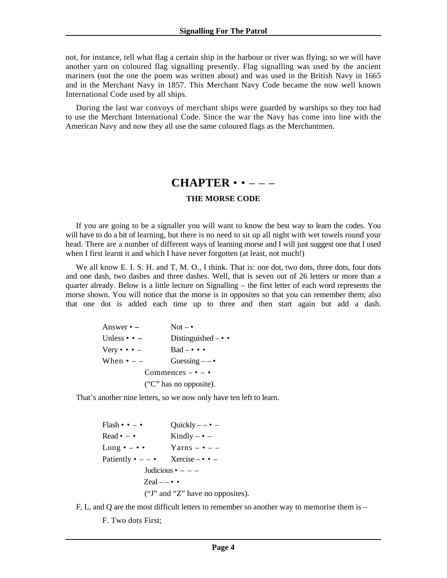<span id="page-3-0"></span>not, for instance, tell what flag a certain ship in the harbour or river was flying; so we will have another yarn on coloured flag signalling presently. Flag signalling was used by the ancient mariners (not the one the poem was written about) and was used in the British Navy in 1665 and in the Merchant Navy in 1857. This Merchant Navy Code became the now well known International Code used by all ships.

During the last war convoys of merchant ships were guarded by warships so they too had to use the Merchant International Code. Since the war the Navy has come into line with the American Navy and now they all use the same coloured flags as the Merchantmen.

### **CHAPTER** • • – – –

#### **THE MORSE CODE**

If you are going to be a signaller you will want to know the best way to learn the codes. You will have to do a bit of learning, but there is no need to sit up all night with wet towels round your head. There are a number of different ways of learning morse and I will just suggest one that I used when I first learnt it and which I have never forgotten (at least, not much!)

We all know E. I. S. H. and T, M. O., I think. That is: one dot, two dots, three dots, four dots and one dash, two dashes and three dashes. Well, that is seven out of 26 letters or more than a quarter already. Below is a little lecture on Signalling – the first letter of each word represents the morse shown. You will notice that the morse is in opposites so that you can remember them; also that one dot is added each time up to three and then start again but add a dash.

| Answer $\bullet$ $-$               | $Not - \bullet$           |  |
|------------------------------------|---------------------------|--|
| Unless $\bullet$ $\bullet$ $-$     | Distinguished $-\bullet$  |  |
| Very $\bullet \bullet \bullet$ $-$ | $Bad - \cdot \cdot \cdot$ |  |
| When $\bullet$ - $-$               | Guessing $-\bullet$       |  |
| Commences $-\bullet$ $-\bullet$    |                           |  |
| ("C" has no opposite).             |                           |  |

That's another nine letters, so we now only have ten left to learn.

 $Flash \cdot \cdot - \cdot$  Quickly – –  $\cdot$  – Read  $\bullet$  –  $\bullet$  Kindly –  $\bullet$  – Long  $\bullet - \bullet \bullet$  Yarns –  $\bullet$  – – Patiently  $\bullet$  – –  $\bullet$  Xercise –  $\bullet$  – Judicious  $\bullet$  – – –  $Zcal = - \cdot \cdot$ ("J" and "Z" have no opposites).

F, L, and Q are the most difficult letters to remember so another way to memorise them is –

F. Two dots First;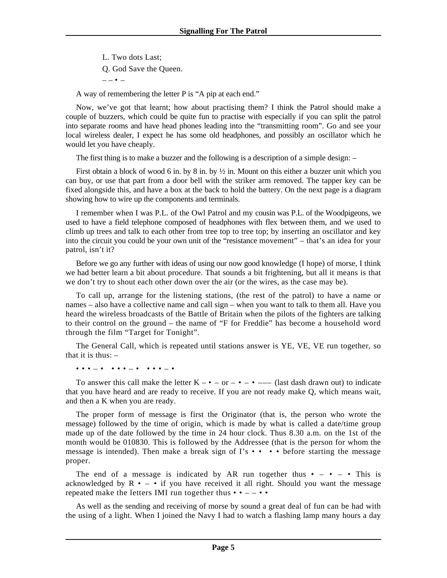L. Two dots Last; Q. God Save the Queen.  $\sim$  –  $\sim$ 

A way of remembering the letter P is "A pip at each end."

Now, we've got that learnt; how about practising them? I think the Patrol should make a couple of buzzers, which could be quite fun to practise with especially if you can split the patrol into separate rooms and have head phones leading into the "transmitting room". Go and see your local wireless dealer, I expect he has some old headphones, and possibly an oscillator which he would let you have cheaply.

The first thing is to make a buzzer and the following is a description of a simple design: –

First obtain a block of wood 6 in. by 8 in. by  $\frac{1}{2}$  in. Mount on this either a buzzer unit which you can buy, or use that part from a door bell with the striker arm removed. The tapper key can be fixed alongside this, and have a box at the back to hold the battery. On the next page is a diagram showing how to wire up the components and terminals.

I remember when I was P.L. of the Owl Patrol and my cousin was P.L. of the Woodpigeons, we used to have a field telephone composed of headphones with flex between them, and we used to climb up trees and talk to each other from tree top to tree top; by inserting an oscillator and key into the circuit you could be your own unit of the "resistance movement" – that's an idea for your patrol, isn't it?

Before we go any further with ideas of using our now good knowledge (I hope) of morse, I think we had better learn a bit about procedure. That sounds a bit frightening, but all it means is that we don't try to shout each other down over the air (or the wires, as the case may be).

To call up, arrange for the listening stations, (the rest of the patrol) to have a name or names – also have a collective name and call sign – when you want to talk to them all. Have you heard the wireless broadcasts of the Battle of Britain when the pilots of the fighters are talking to their control on the ground – the name of "F for Freddie" has become a household word through the film "Target for Tonight".

The General Call, which is repeated until stations answer is YE, VE, VE run together, so that it is thus:  $-$ 

• • • – • • • • – • • • • – •

To answer this call make the letter  $K - \bullet - \text{or} - \bullet - \bullet - \text{ (last dash drawn out) to indicate}$ that you have heard and are ready to receive. If you are not ready make Q, which means wait, and then a K when you are ready.

The proper form of message is first the Originator (that is, the person who wrote the message) followed by the time of origin, which is made by what is called a date/time group made up of the date followed by the time in 24 hour clock. Thus 8.30 a.m. on the 1st of the month would be 010830. This is followed by the Addressee (that is the person for whom the message is intended). Then make a break sign of I's • • • • before starting the message proper.

The end of a message is indicated by AR run together thus  $\bullet - \bullet - \bullet$  This is acknowledged by  $\mathbb{R}$   $\cdot$  -  $\cdot$  if you have received it all right. Should you want the message repeated make the letters IMI run together thus  $\bullet \bullet$  – –  $\bullet \bullet$ 

As well as the sending and receiving of morse by sound a great deal of fun can be had with the using of a light. When I joined the Navy I had to watch a flashing lamp many hours a day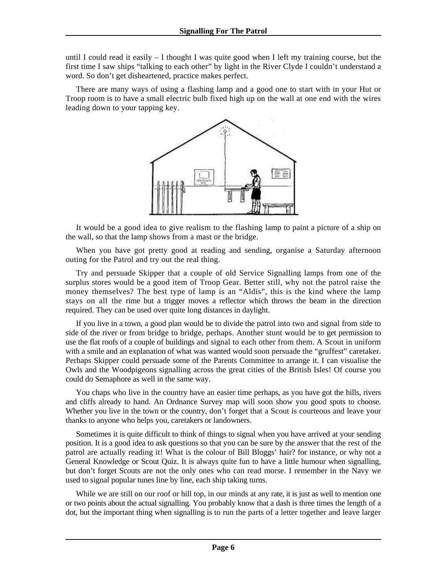until I could read it easily  $-1$  thought I was quite good when I left my training course, but the first time I saw ships "talking to each other" by light in the River Clyde I couldn't understand a word. So don't get disheartened, practice makes perfect.

There are many ways of using a flashing lamp and a good one to start with in your Hut or Troop room is to have a small electric bulb fixed high up on the wall at one end with the wires leading down to your tapping key.



It would be a good idea to give realism to the flashing lamp to paint a picture of a ship on the wall, so that the lamp shows from a mast or the bridge.

When you have got pretty good at reading and sending, organise a Saturday afternoon outing for the Patrol and try out the real thing.

Try and persuade Skipper that a couple of old Service Signalling lamps from one of the surplus stores would be a good item of Troop Gear. Better still, why not the patrol raise the money themselves? The best type of lamp is an "Aldis", this is the kind where the lamp stays on all the rime but a trigger moves a reflector which throws the beam in the direction required. They can be used over quite long distances in daylight.

If you live in a town, a good plan would be to divide the patrol into two and signal from side to side of the river or from bridge to bridge, perhaps. Another stunt would be to get permission to use the flat roofs of a couple of buildings and signal to each other from them. A Scout in uniform with a smile and an explanation of what was wanted would soon persuade the "gruffest" caretaker. Perhaps Skipper could persuade some of the Parents Committee to arrange it. I can visualise the Owls and the Woodpigeons signalling across the great cities of the British Isles! Of course you could do Semaphore as well in the same way.

You chaps who live in the country have an easier time perhaps, as you have got the hills, rivers and cliffs already to hand. An Ordnance Survey map will soon show you good spots to choose. Whether you live in the town or the country, don't forget that a Scout is courteous and leave your thanks to anyone who helps you, caretakers or landowners.

Sometimes it is quite difficult to think of things to signal when you have arrived at your sending position. It is a good idea to ask questions so that you can be sure by the answer that the rest of the patrol are actually reading it! What is the colour of Bill Bloggs' hair? for instance, or why not a General Knowledge or Scout Quiz. It is always quite fun to have a little humour when signalling, but don't forget Scouts are not the only ones who can read morse. I remember in the Navy we used to signal popular tunes line by line, each ship taking turns.

While we are still on our roof or hill top, in our minds at any rate, it is just as well to mention one or two points about the actual signalling. You probably know that a dash is three times the length of a dot, but the important thing when signalling is to run the parts of a letter together and leave larger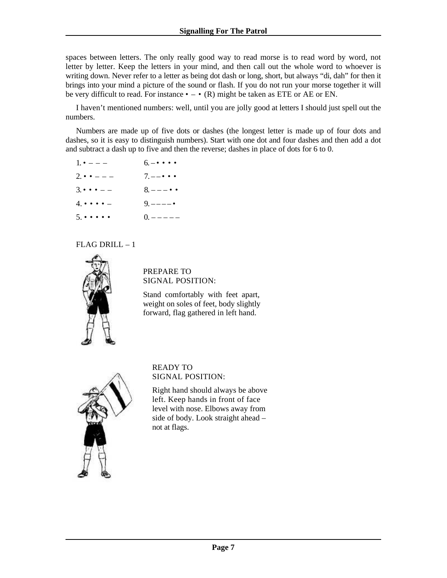spaces between letters. The only really good way to read morse is to read word by word, not letter by letter. Keep the letters in your mind, and then call out the whole word to whoever is writing down. Never refer to a letter as being dot dash or long, short, but always "di, dah" for then it brings into your mind a picture of the sound or flash. If you do not run your morse together it will be very difficult to read. For instance  $\bullet - \bullet$  (R) might be taken as ETE or AE or EN.

I haven't mentioned numbers: well, until you are jolly good at letters I should just spell out the numbers.

Numbers are made up of five dots or dashes (the longest letter is made up of four dots and dashes, so it is easy to distinguish numbers). Start with one dot and four dashes and then add a dot and subtract a dash up to five and then the reverse; dashes in place of dots for 6 to 0.

| $1. \cdot - - -$                   | $6 - \cdot \cdot \cdot \cdot$ |
|------------------------------------|-------------------------------|
| $2 \cdot \cdot \cdot$ - - -        | $7. - - \cdot \cdot \cdot$    |
| $3 \cdot \cdot \cdot$ $-$          | $8.--- \bullet \bullet$       |
| $4. \cdot \cdot \cdot \cdot$       | $9. --- -$                    |
| $5. \cdot \cdot \cdot \cdot \cdot$ | $0. --- - -$                  |

#### FLAG DRILL – 1



PREPARE TO SIGNAL POSITION:

Stand comfortably with feet apart, weight on soles of feet, body slightly forward, flag gathered in left hand.



READY TO SIGNAL POSITION:

Right hand should always be above left. Keep hands in front of face level with nose. Elbows away from side of body. Look straight ahead – not at flags.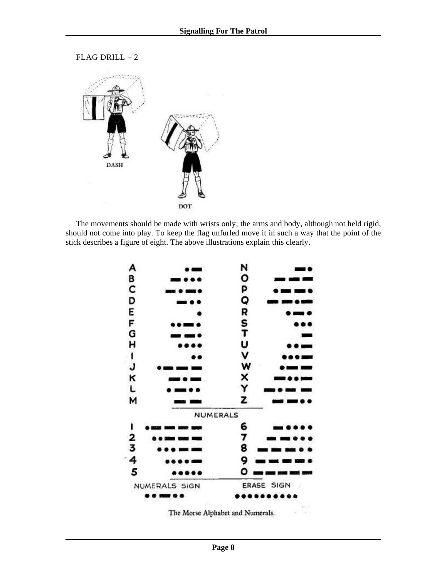FLAG DRILL – 2



The movements should be made with wrists only; the arms and body, although not held rigid, should not come into play. To keep the flag unfurled move it in such a way that the point of the stick describes a figure of eight. The above illustrations explain this clearly.



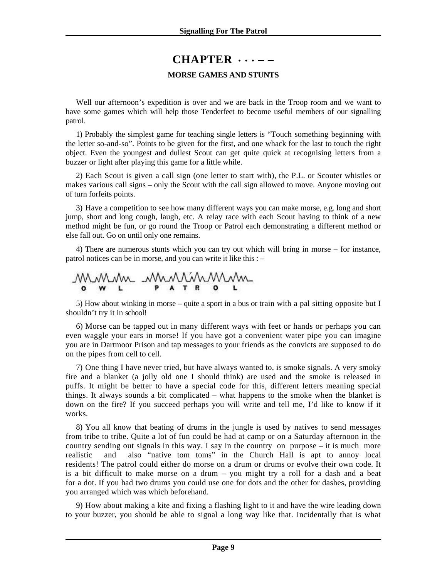# **CHAPTER** • • • **– –**

#### **MORSE GAMES AND STUNTS**

<span id="page-8-0"></span>Well our afternoon's expedition is over and we are back in the Troop room and we want to have some games which will help those Tenderfeet to become useful members of our signalling patrol.

1) Probably the simplest game for teaching single letters is "Touch something beginning with the letter so-and-so". Points to be given for the first, and one whack for the last to touch the right object. Even the youngest and dullest Scout can get quite quick at recognising letters from a buzzer or light after playing this game for a little while.

2) Each Scout is given a call sign (one letter to start with), the P.L. or Scouter whistles or makes various call signs – only the Scout with the call sign allowed to move. Anyone moving out of turn forfeits points.

3) Have a competition to see how many different ways you can make morse, e.g. long and short jump, short and long cough, laugh, etc. A relay race with each Scout having to think of a new method might be fun, or go round the Troop or Patrol each demonstrating a different method or else fall out. Go on until only one remains.

4) There are numerous stunts which you can try out which will bring in morse – for instance, patrol notices can be in morse, and you can write it like this : –

m MMMMMM

5) How about winking in morse – quite a sport in a bus or train with a pal sitting opposite but I shouldn't try it in school!

6) Morse can be tapped out in many different ways with feet or hands or perhaps you can even waggle your ears in morse! If you have got a convenient water pipe you can imagine you are in Dartmoor Prison and tap messages to your friends as the convicts are supposed to do on the pipes from cell to cell.

7) One thing I have never tried, but have always wanted to, is smoke signals. A very smoky fire and a blanket (a jolly old one I should think) are used and the smoke is released in puffs. It might be better to have a special code for this, different letters meaning special things. It always sounds a bit complicated – what happens to the smoke when the blanket is down on the fire? If you succeed perhaps you will write and tell me, I'd like to know if it works.

8) You all know that beating of drums in the jungle is used by natives to send messages from tribe to tribe. Quite a lot of fun could be had at camp or on a Saturday afternoon in the country sending out signals in this way. I say in the country on purpose – it is much more realistic and also "native tom toms" in the Church Hall is apt to annoy local residents! The patrol could either do morse on a drum or drums or evolve their own code. It is a bit difficult to make morse on a drum – you might try a roll for a dash and a beat for a dot. If you had two drums you could use one for dots and the other for dashes, providing you arranged which was which beforehand.

9) How about making a kite and fixing a flashing light to it and have the wire leading down to your buzzer, you should be able to signal a long way like that. Incidentally that is what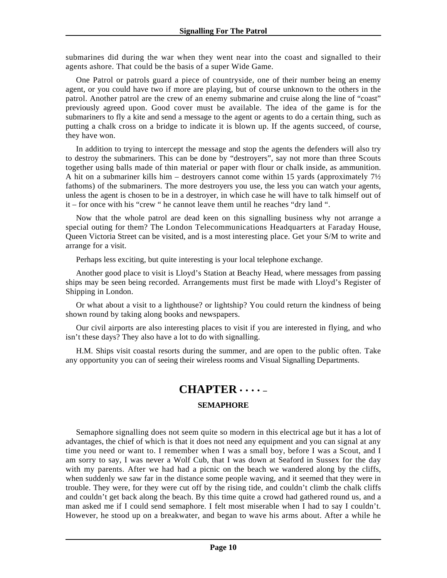<span id="page-9-0"></span>submarines did during the war when they went near into the coast and signalled to their agents ashore. That could be the basis of a super Wide Game.

One Patrol or patrols guard a piece of countryside, one of their number being an enemy agent, or you could have two if more are playing, but of course unknown to the others in the patrol. Another patrol are the crew of an enemy submarine and cruise along the line of "coast" previously agreed upon. Good cover must be available. The idea of the game is for the submariners to fly a kite and send a message to the agent or agents to do a certain thing, such as putting a chalk cross on a bridge to indicate it is blown up. If the agents succeed, of course, they have won.

In addition to trying to intercept the message and stop the agents the defenders will also try to destroy the submariners. This can be done by "destroyers", say not more than three Scouts together using balls made of thin material or paper with flour or chalk inside, as ammunition. A hit on a submariner kills him – destroyers cannot come within 15 yards (approximately  $7\frac{1}{2}$ ) fathoms) of the submariners. The more destroyers you use, the less you can watch your agents, unless the agent is chosen to be in a destroyer, in which case he will have to talk himself out of it – for once with his "crew " he cannot leave them until he reaches "dry land ".

Now that the whole patrol are dead keen on this signalling business why not arrange a special outing for them? The London Telecommunications Headquarters at Faraday House, Queen Victoria Street can be visited, and is a most interesting place. Get your S/M to write and arrange for a visit.

Perhaps less exciting, but quite interesting is your local telephone exchange.

Another good place to visit is Lloyd's Station at Beachy Head, where messages from passing ships may be seen being recorded. Arrangements must first be made with Lloyd's Register of Shipping in London.

Or what about a visit to a lighthouse? or lightship? You could return the kindness of being shown round by taking along books and newspapers.

Our civil airports are also interesting places to visit if you are interested in flying, and who isn't these days? They also have a lot to do with signalling.

H.M. Ships visit coastal resorts during the summer, and are open to the public often. Take any opportunity you can of seeing their wireless rooms and Visual Signalling Departments.

### **CHAPTER** • • • • **– SEMAPHORE**

Semaphore signalling does not seem quite so modern in this electrical age but it has a lot of advantages, the chief of which is that it does not need any equipment and you can signal at any time you need or want to. I remember when I was a small boy, before I was a Scout, and I am sorry to say, I was never a Wolf Cub, that I was down at Seaford in Sussex for the day with my parents. After we had had a picnic on the beach we wandered along by the cliffs, when suddenly we saw far in the distance some people waving, and it seemed that they were in trouble. They were, for they were cut off by the rising tide, and couldn't climb the chalk cliffs and couldn't get back along the beach. By this time quite a crowd had gathered round us, and a man asked me if I could send semaphore. I felt most miserable when I had to say I couldn't. However, he stood up on a breakwater, and began to wave his arms about. After a while he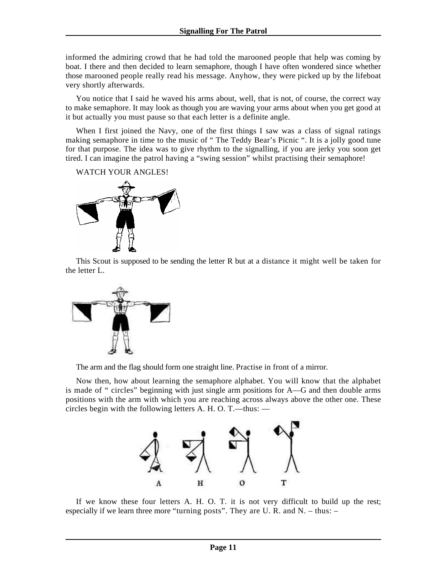informed the admiring crowd that he had told the marooned people that help was coming by boat. I there and then decided to learn semaphore, though I have often wondered since whether those marooned people really read his message. Anyhow, they were picked up by the lifeboat very shortly afterwards.

You notice that I said he waved his arms about, well, that is not, of course, the correct way to make semaphore. It may look as though you are waving your arms about when you get good at it but actually you must pause so that each letter is a definite angle.

When I first joined the Navy, one of the first things I saw was a class of signal ratings making semaphore in time to the music of " The Teddy Bear's Picnic ". It is a jolly good tune for that purpose. The idea was to give rhythm to the signalling, if you are jerky you soon get tired. I can imagine the patrol having a "swing session" whilst practising their semaphore!

WATCH YOUR ANGLES!



This Scout is supposed to be sending the letter R but at a distance it might well be taken for the letter L.



The arm and the flag should form one straight line. Practise in front of a mirror.

Now then, how about learning the semaphore alphabet. You will know that the alphabet is made of " circles" beginning with just single arm positions for A—G and then double arms positions with the arm with which you are reaching across always above the other one. These circles begin with the following letters A. H. O. T.—thus: —



If we know these four letters A. H. O. T. it is not very difficult to build up the rest; especially if we learn three more "turning posts". They are U. R. and N. – thus: –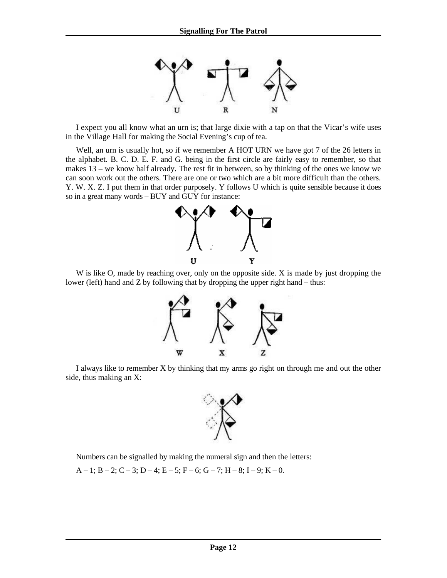

I expect you all know what an urn is; that large dixie with a tap on that the Vicar's wife uses in the Village Hall for making the Social Evening's cup of tea.

Well, an urn is usually hot, so if we remember A HOT URN we have got 7 of the 26 letters in the alphabet. B. C. D. E. F. and G. being in the first circle are fairly easy to remember, so that makes 13 – we know half already. The rest fit in between, so by thinking of the ones we know we can soon work out the others. There are one or two which are a bit more difficult than the others. Y. W. X. Z. I put them in that order purposely. Y follows U which is quite sensible because it does so in a great many words – BUY and GUY for instance:



W is like O, made by reaching over, only on the opposite side. X is made by just dropping the lower (left) hand and Z by following that by dropping the upper right hand – thus:



I always like to remember X by thinking that my arms go right on through me and out the other side, thus making an X:



Numbers can be signalled by making the numeral sign and then the letters:

A – 1; B – 2; C – 3; D – 4; E – 5; F – 6; G – 7; H – 8; I – 9; K – 0.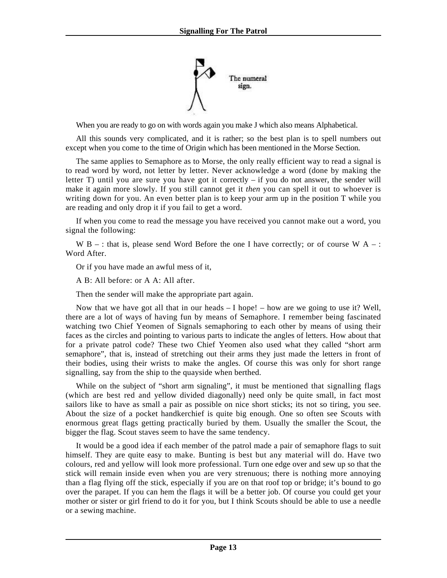

When you are ready to go on with words again you make J which also means Alphabetical.

All this sounds very complicated, and it is rather; so the best plan is to spell numbers out except when you come to the time of Origin which has been mentioned in the Morse Section.

The same applies to Semaphore as to Morse, the only really efficient way to read a signal is to read word by word, not letter by letter. Never acknowledge a word (done by making the letter  $T$ ) until you are sure you have got it correctly – if you do not answer, the sender will make it again more slowly. If you still cannot get it *then* you can spell it out to whoever is writing down for you. An even better plan is to keep your arm up in the position T while you are reading and only drop it if you fail to get a word.

If when you come to read the message you have received you cannot make out a word, you signal the following:

W B – : that is, please send Word Before the one I have correctly; or of course W A – : Word After.

Or if you have made an awful mess of it,

A B: All before: or A A: All after.

Then the sender will make the appropriate part again.

Now that we have got all that in our heads – I hope! – how are we going to use it? Well, there are a lot of ways of having fun by means of Semaphore. I remember being fascinated watching two Chief Yeomen of Signals semaphoring to each other by means of using their faces as the circles and pointing to various parts to indicate the angles of letters. How about that for a private patrol code? These two Chief Yeomen also used what they called "short arm semaphore", that is, instead of stretching out their arms they just made the letters in front of their bodies, using their wrists to make the angles. Of course this was only for short range signalling, say from the ship to the quayside when berthed.

While on the subject of "short arm signaling", it must be mentioned that signalling flags (which are best red and yellow divided diagonally) need only be quite small, in fact most sailors like to have as small a pair as possible on nice short sticks; its not so tiring, you see. About the size of a pocket handkerchief is quite big enough. One so often see Scouts with enormous great flags getting practically buried by them. Usually the smaller the Scout, the bigger the flag. Scout staves seem to have the same tendency.

It would be a good idea if each member of the patrol made a pair of semaphore flags to suit himself. They are quite easy to make. Bunting is best but any material will do. Have two colours, red and yellow will look more professional. Turn one edge over and sew up so that the stick will remain inside even when you are very strenuous; there is nothing more annoying than a flag flying off the stick, especially if you are on that roof top or bridge; it's bound to go over the parapet. If you can hem the flags it will be a better job. Of course you could get your mother or sister or girl friend to do it for you, but I think Scouts should be able to use a needle or a sewing machine.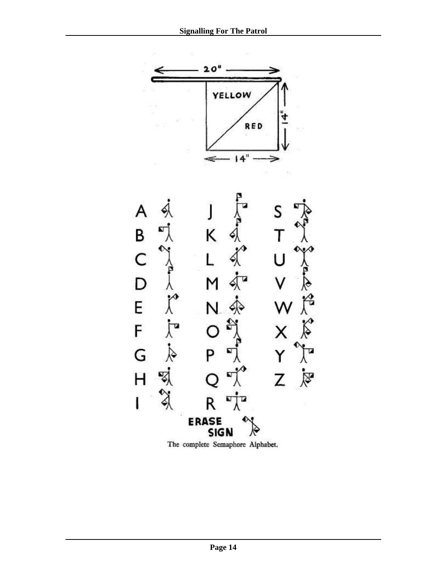

The complete Semaphore Alphabet.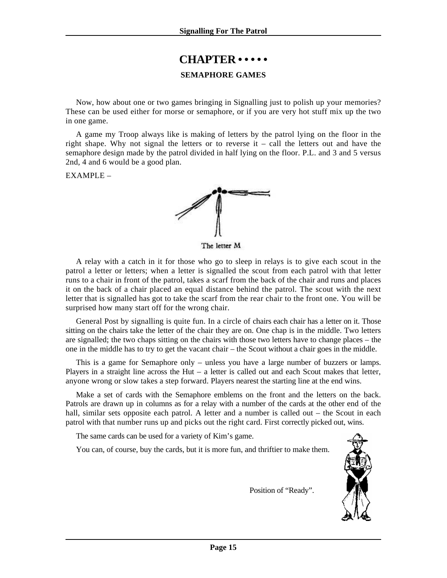# **CHAPTER • • • • •**

#### **SEMAPHORE GAMES**

<span id="page-14-0"></span>Now, how about one or two games bringing in Signalling just to polish up your memories? These can be used either for morse or semaphore, or if you are very hot stuff mix up the two in one game.

A game my Troop always like is making of letters by the patrol lying on the floor in the right shape. Why not signal the letters or to reverse it – call the letters out and have the semaphore design made by the patrol divided in half lying on the floor. P.L. and 3 and 5 versus 2nd, 4 and 6 would be a good plan.

 $EXAMPLE -$ 



The letter M

A relay with a catch in it for those who go to sleep in relays is to give each scout in the patrol a letter or letters; when a letter is signalled the scout from each patrol with that letter runs to a chair in front of the patrol, takes a scarf from the back of the chair and runs and places it on the back of a chair placed an equal distance behind the patrol. The scout with the next letter that is signalled has got to take the scarf from the rear chair to the front one. You will be surprised how many start off for the wrong chair.

General Post by signalling is quite fun. In a circle of chairs each chair has a letter on it. Those sitting on the chairs take the letter of the chair they are on. One chap is in the middle. Two letters are signalled; the two chaps sitting on the chairs with those two letters have to change places – the one in the middle has to try to get the vacant chair – the Scout without a chair goes in the middle.

This is a game for Semaphore only – unless you have a large number of buzzers or lamps. Players in a straight line across the Hut – a letter is called out and each Scout makes that letter, anyone wrong or slow takes a step forward. Players nearest the starting line at the end wins.

Make a set of cards with the Semaphore emblems on the front and the letters on the back. Patrols are drawn up in columns as for a relay with a number of the cards at the other end of the hall, similar sets opposite each patrol. A letter and a number is called out – the Scout in each patrol with that number runs up and picks out the right card. First correctly picked out, wins.

The same cards can be used for a variety of Kim's game.

You can, of course, buy the cards, but it is more fun, and thriftier to make them.



Position of "Ready".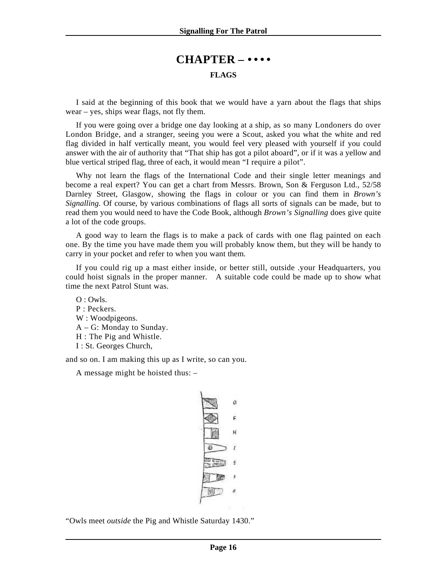## **CHAPTER – • • • • FLAGS**

<span id="page-15-0"></span>I said at the beginning of this book that we would have a yarn about the flags that ships wear – yes, ships wear flags, not fly them.

If you were going over a bridge one day looking at a ship, as so many Londoners do over London Bridge, and a stranger, seeing you were a Scout, asked you what the white and red flag divided in half vertically meant, you would feel very pleased with yourself if you could answer with the air of authority that "That ship has got a pilot aboard", or if it was a yellow and blue vertical striped flag, three of each, it would mean "I require a pilot".

Why not learn the flags of the International Code and their single letter meanings and become a real expert? You can get a chart from Messrs. Brown, Son & Ferguson Ltd., 52/58 Darnley Street, Glasgow, showing the flags in colour or you can find them in *Brown's Signalling.* Of course, by various combinations of flags all sorts of signals can be made, but to read them you would need to have the Code Book, although *Brown's Signalling* does give quite a lot of the code groups.

A good way to learn the flags is to make a pack of cards with one flag painted on each one. By the time you have made them you will probably know them, but they will be handy to carry in your pocket and refer to when you want them.

If you could rig up a mast either inside, or better still, outside .your Headquarters, you could hoist signals in the proper manner. A suitable code could be made up to show what time the next Patrol Stunt was.

 $O \cdot Ow$ ls. P : Peckers. W : Woodpigeons. A – G: Monday to Sunday. H : The Pig and Whistle. I : St. Georges Church,

and so on. I am making this up as I write, so can you.

A message might be hoisted thus: –

| o |
|---|
| F |
| н |
|   |
|   |
| Ŧ |
|   |

"Owls meet *outside* the Pig and Whistle Saturday 1430."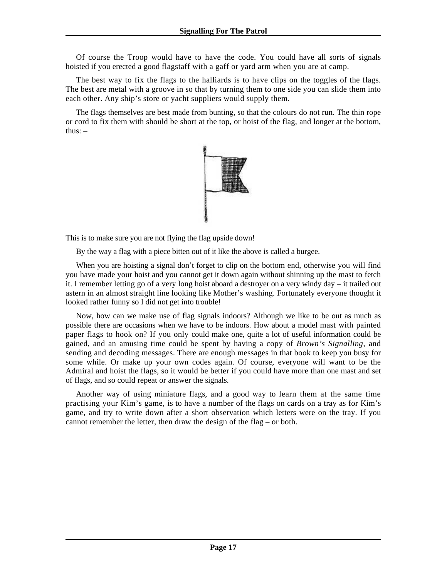Of course the Troop would have to have the code. You could have all sorts of signals hoisted if you erected a good flagstaff with a gaff or yard arm when you are at camp.

The best way to fix the flags to the halliards is to have clips on the toggles of the flags. The best are metal with a groove in so that by turning them to one side you can slide them into each other. Any ship's store or yacht suppliers would supply them.

The flags themselves are best made from bunting, so that the colours do not run. The thin rope or cord to fix them with should be short at the top, or hoist of the flag, and longer at the bottom, thus:  $-$ 



This is to make sure you are not flying the flag upside down!

By the way a flag with a piece bitten out of it like the above is called a burgee.

When you are hoisting a signal don't forget to clip on the bottom end, otherwise you will find you have made your hoist and you cannot get it down again without shinning up the mast to fetch it. I remember letting go of a very long hoist aboard a destroyer on a very windy day – it trailed out astern in an almost straight line looking like Mother's washing. Fortunately everyone thought it looked rather funny so I did not get into trouble!

Now, how can we make use of flag signals indoors? Although we like to be out as much as possible there are occasions when we have to be indoors. How about a model mast with painted paper flags to hook on? If you only could make one, quite a lot of useful information could be gained, and an amusing time could be spent by having a copy of *Brown's Signalling*, and sending and decoding messages. There are enough messages in that book to keep you busy for some while. Or make up your own codes again. Of course, everyone will want to be the Admiral and hoist the flags, so it would be better if you could have more than one mast and set of flags, and so could repeat or answer the signals.

Another way of using miniature flags, and a good way to learn them at the same time practising your Kim's game, is to have a number of the flags on cards on a tray as for Kim's game, and try to write down after a short observation which letters were on the tray. If you cannot remember the letter, then draw the design of the flag – or both.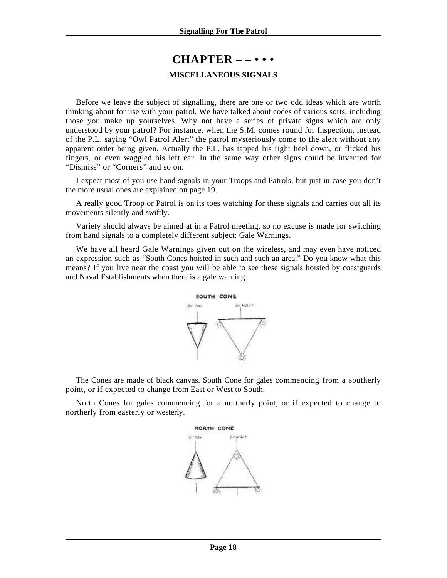### **CHAPTER – – • • •**

#### **MISCELLANEOUS SIGNALS**

<span id="page-17-0"></span>Before we leave the subject of signalling, there are one or two odd ideas which are worth thinking about for use with your patrol. We have talked about codes of various sorts, including those you make up yourselves. Why not have a series of private signs which are only understood by your patrol? For instance, when the S.M. comes round for Inspection, instead of the P.L. saying "Owl Patrol Alert" the patrol mysteriously come to the alert without any apparent order being given. Actually the P.L. has tapped his right heel down, or flicked his fingers, or even waggled his left ear. In the same way other signs could be invented for "Dismiss" or "Corners" and so on.

I expect most of you use hand signals in your Troops and Patrols, but just in case you don't the more usual ones are explained on page 19.

A really good Troop or Patrol is on its toes watching for these signals and carries out all its movements silently and swiftly.

Variety should always be aimed at in a Patrol meeting, so no excuse is made for switching from hand signals to a completely different subject: Gale Warnings.

We have all heard Gale Warnings given out on the wireless, and may even have noticed an expression such as "South Cones hoisted in such and such an area." Do you know what this means? If you live near the coast you will be able to see these signals hoisted by coastguards and Naval Establishments when there is a gale warning.



The Cones are made of black canvas. South Cone for gales commencing from a southerly point, or if expected to change from East or West to South.

North Cones for gales commencing for a northerly point, or if expected to change to northerly from easterly or westerly.

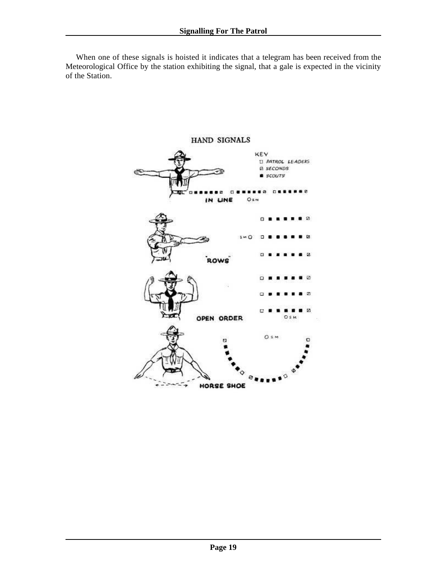When one of these signals is hoisted it indicates that a telegram has been received from the Meteorological Office by the station exhibiting the signal, that a gale is expected in the vicinity of the Station.